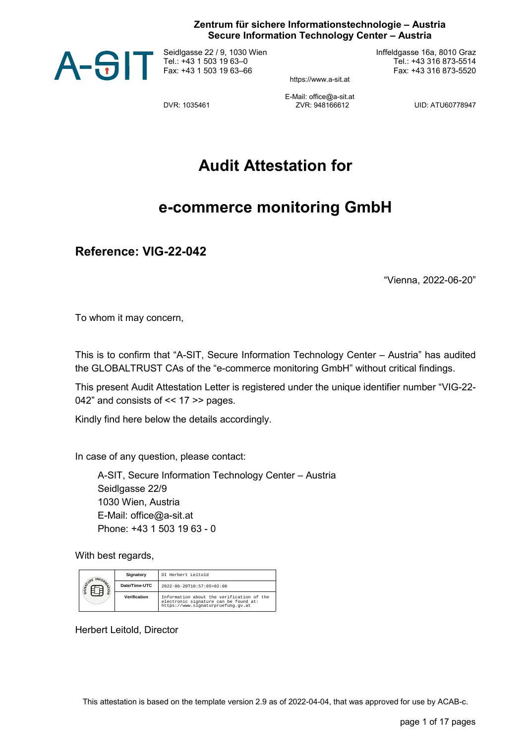## **Zentrum für sichere Informationstechnologie – Austria Secure Information Technology Center – Austria**



Seidlgasse 22 / 9, 1030 Wien Tel.: +43 1 503 19 63–0 Fax: +43 1 503 19 63–66

Inffeldgasse 16a, 8010 Graz Tel.: +43 316 873-5514 Fax: +43 316 873-5520

https://www.a-sit.at

E-Mail: office@a-sit.at<br>7VR: 948166612 DVR: 1035461 ZVR: 948166612 UID: ATU60778947

**Audit Attestation for**

## **e-commerce monitoring GmbH**

**Reference: VIG-22-042**

"Vienna, 2022-06-20"

To whom it may concern,

This is to confirm that "A-SIT, Secure Information Technology Center – Austria" has audited the GLOBALTRUST CAs of the "e-commerce monitoring GmbH" without critical findings.

This present Audit Attestation Letter is registered under the unique identifier number "VIG-22- 042" and consists of << 17 >> pages.

Kindly find here below the details accordingly.

In case of any question, please contact:

A-SIT, Secure Information Technology Center – Austria Seidlgasse 22/9 1030 Wien, Austria E-Mail: office@a-sit.at Phone: +43 1 503 19 63 - 0

With best regards,

| INFORM <sub>TA</sub><br><b>SIGNATURE</b><br>ğ | Signatory     | DI Herbert Leitold                                                                                                       |
|-----------------------------------------------|---------------|--------------------------------------------------------------------------------------------------------------------------|
|                                               | Date/Time-UTC | $2022 - 06 - 20T10:57:05 + 02:00$                                                                                        |
|                                               | Verification  | Information about the verification of the<br>electronic signature can be found at:<br>https://www.signaturpruefung.gv.at |

Herbert Leitold, Director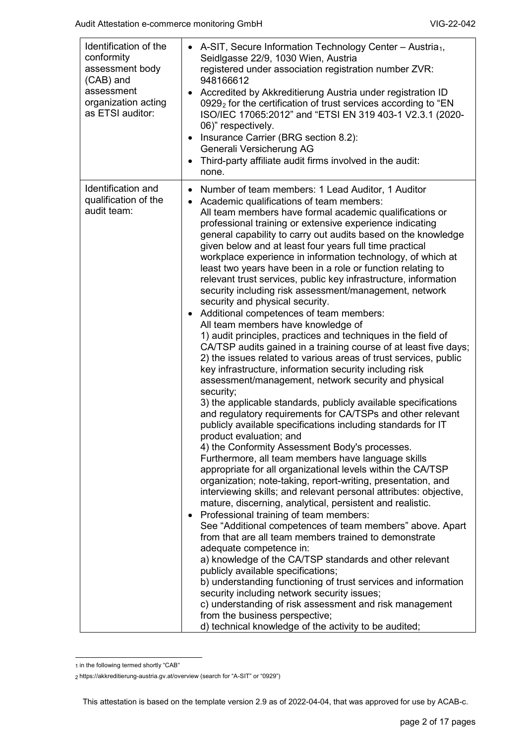| Identification of the<br>conformity<br>assessment body<br>(CAB) and<br>assessment<br>organization acting<br>as ETSI auditor: |           | A-SIT, Secure Information Technology Center - Austria <sub>1</sub> ,<br>Seidlgasse 22/9, 1030 Wien, Austria<br>registered under association registration number ZVR:<br>948166612<br>Accredited by Akkreditierung Austria under registration ID<br>0929 <sub>2</sub> for the certification of trust services according to "EN<br>ISO/IEC 17065:2012" and "ETSI EN 319 403-1 V2.3.1 (2020-<br>06)" respectively.<br>Insurance Carrier (BRG section 8.2):<br>Generali Versicherung AG<br>Third-party affiliate audit firms involved in the audit:<br>none.                                                                                                                                                                                                                                                                                                                                                                                                                                                                                                                                                                                                                                                                                                                                                                                                                                                                                                                                                                                                                                                                                                                                                                                                                                                                                                                                                                                                                                                                                                                                                                                                                                                                                        |
|------------------------------------------------------------------------------------------------------------------------------|-----------|-------------------------------------------------------------------------------------------------------------------------------------------------------------------------------------------------------------------------------------------------------------------------------------------------------------------------------------------------------------------------------------------------------------------------------------------------------------------------------------------------------------------------------------------------------------------------------------------------------------------------------------------------------------------------------------------------------------------------------------------------------------------------------------------------------------------------------------------------------------------------------------------------------------------------------------------------------------------------------------------------------------------------------------------------------------------------------------------------------------------------------------------------------------------------------------------------------------------------------------------------------------------------------------------------------------------------------------------------------------------------------------------------------------------------------------------------------------------------------------------------------------------------------------------------------------------------------------------------------------------------------------------------------------------------------------------------------------------------------------------------------------------------------------------------------------------------------------------------------------------------------------------------------------------------------------------------------------------------------------------------------------------------------------------------------------------------------------------------------------------------------------------------------------------------------------------------------------------------------------------------|
| Identification and<br>qualification of the<br>audit team:                                                                    | $\bullet$ | Number of team members: 1 Lead Auditor, 1 Auditor<br>Academic qualifications of team members:<br>All team members have formal academic qualifications or<br>professional training or extensive experience indicating<br>general capability to carry out audits based on the knowledge<br>given below and at least four years full time practical<br>workplace experience in information technology, of which at<br>least two years have been in a role or function relating to<br>relevant trust services, public key infrastructure, information<br>security including risk assessment/management, network<br>security and physical security.<br>Additional competences of team members:<br>All team members have knowledge of<br>1) audit principles, practices and techniques in the field of<br>CA/TSP audits gained in a training course of at least five days;<br>2) the issues related to various areas of trust services, public<br>key infrastructure, information security including risk<br>assessment/management, network security and physical<br>security;<br>3) the applicable standards, publicly available specifications<br>and regulatory requirements for CA/TSPs and other relevant<br>publicly available specifications including standards for IT<br>product evaluation; and<br>4) the Conformity Assessment Body's processes.<br>Furthermore, all team members have language skills<br>appropriate for all organizational levels within the CA/TSP<br>organization; note-taking, report-writing, presentation, and<br>interviewing skills; and relevant personal attributes: objective,<br>mature, discerning, analytical, persistent and realistic.<br>Professional training of team members:<br>See "Additional competences of team members" above. Apart<br>from that are all team members trained to demonstrate<br>adequate competence in:<br>a) knowledge of the CA/TSP standards and other relevant<br>publicly available specifications;<br>b) understanding functioning of trust services and information<br>security including network security issues;<br>c) understanding of risk assessment and risk management<br>from the business perspective;<br>d) technical knowledge of the activity to be audited; |

<span id="page-1-0"></span><sup>1</sup> in the following termed shortly "CAB"

<span id="page-1-1"></span><sup>2</sup> https://akkreditierung-austria.gv.at/overview (search for "A-SIT" or "0929")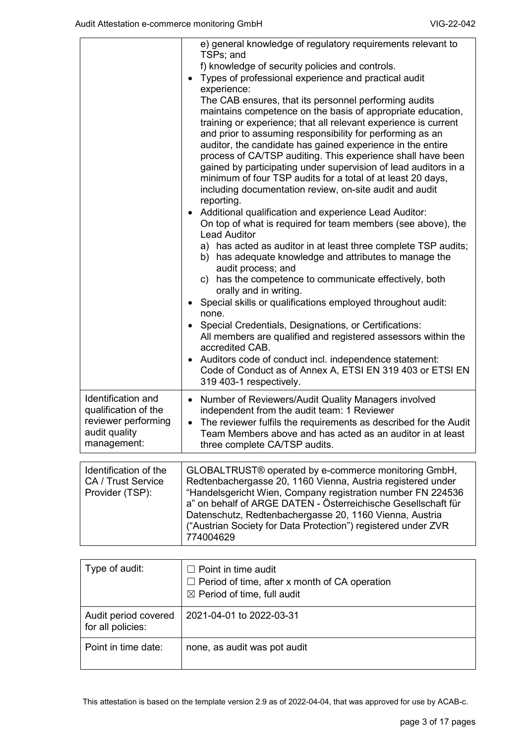|                           | e) general knowledge of regulatory requirements relevant to<br>TSPs; and |
|---------------------------|--------------------------------------------------------------------------|
|                           | f) knowledge of security policies and controls.                          |
|                           | Types of professional experience and practical audit                     |
|                           | experience:                                                              |
|                           | The CAB ensures, that its personnel performing audits                    |
|                           | maintains competence on the basis of appropriate education,              |
|                           | training or experience; that all relevant experience is current          |
|                           | and prior to assuming responsibility for performing as an                |
|                           | auditor, the candidate has gained experience in the entire               |
|                           | process of CA/TSP auditing. This experience shall have been              |
|                           | gained by participating under supervision of lead auditors in a          |
|                           | minimum of four TSP audits for a total of at least 20 days,              |
|                           | including documentation review, on-site audit and audit                  |
|                           | reporting.                                                               |
|                           | Additional qualification and experience Lead Auditor:                    |
|                           | On top of what is required for team members (see above), the             |
|                           | <b>Lead Auditor</b>                                                      |
|                           | a) has acted as auditor in at least three complete TSP audits;           |
|                           | b) has adequate knowledge and attributes to manage the                   |
|                           | audit process; and                                                       |
|                           | c) has the competence to communicate effectively, both                   |
|                           | orally and in writing.                                                   |
|                           | • Special skills or qualifications employed throughout audit:            |
|                           | none.                                                                    |
|                           | Special Credentials, Designations, or Certifications:                    |
|                           | All members are qualified and registered assessors within the            |
|                           | accredited CAB.                                                          |
|                           | Auditors code of conduct incl. independence statement:                   |
|                           | Code of Conduct as of Annex A, ETSI EN 319 403 or ETSI EN                |
|                           | 319 403-1 respectively.                                                  |
| Identification and        | Number of Reviewers/Audit Quality Managers involved<br>$\bullet$         |
| qualification of the      | independent from the audit team: 1 Reviewer                              |
| reviewer performing       | The reviewer fulfils the requirements as described for the Audit         |
| audit quality             | Team Members above and has acted as an auditor in at least               |
| management:               | three complete CA/TSP audits.                                            |
|                           |                                                                          |
| Identification of the     | GLOBALTRUST® operated by e-commerce monitoring GmbH,                     |
| <b>CA / Trust Service</b> | Redtenbachergasse 20, 1160 Vienna, Austria registered under              |
| Provider (TSP):           | "Handelsgericht Wien, Company registration number FN 224536              |
|                           | a" on behalf of ARGE DATEN - Österreichische Gesellschaft für            |
|                           | Datenschutz, Redtenbachergasse 20, 1160 Vienna, Austria                  |
|                           | ("Austrian Society for Data Protection") registered under ZVR            |

| Type of audit:                            | $\Box$ Point in time audit<br>$\Box$ Period of time, after x month of CA operation<br>$\boxtimes$ Period of time, full audit |
|-------------------------------------------|------------------------------------------------------------------------------------------------------------------------------|
| Audit period covered<br>for all policies: | 2021-04-01 to 2022-03-31                                                                                                     |
| Point in time date:                       | none, as audit was pot audit                                                                                                 |

774004629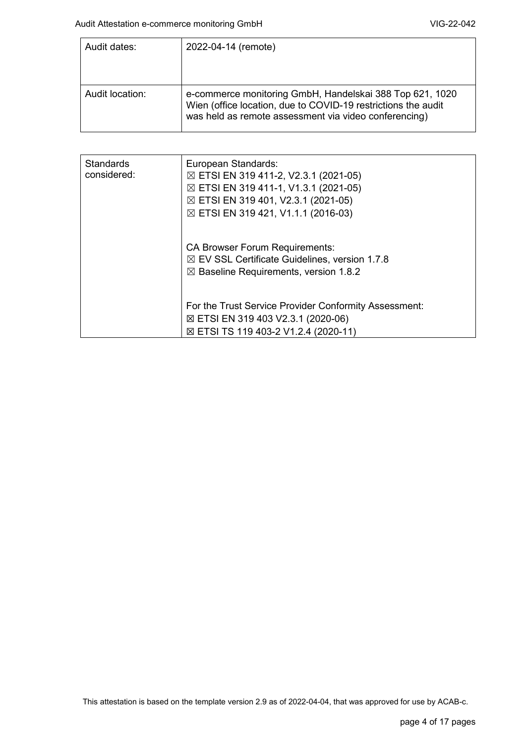| Audit dates:    | 2022-04-14 (remote)                                                                                                                                                                |
|-----------------|------------------------------------------------------------------------------------------------------------------------------------------------------------------------------------|
|                 |                                                                                                                                                                                    |
| Audit location: | e-commerce monitoring GmbH, Handelskai 388 Top 621, 1020<br>Wien (office location, due to COVID-19 restrictions the audit<br>was held as remote assessment via video conferencing) |

| <b>Standards</b><br>considered: | European Standards:<br>$\boxtimes$ ETSI EN 319 411-2, V2.3.1 (2021-05)<br>$\boxtimes$ ETSI EN 319 411-1, V1.3.1 (2021-05)<br>⊠ ETSI EN 319 401, V2.3.1 (2021-05)<br>⊠ ETSI EN 319 421, V1.1.1 (2016-03) |
|---------------------------------|---------------------------------------------------------------------------------------------------------------------------------------------------------------------------------------------------------|
|                                 | <b>CA Browser Forum Requirements:</b><br>$\boxtimes$ EV SSL Certificate Guidelines, version 1.7.8<br>$\boxtimes$ Baseline Requirements, version 1.8.2                                                   |
|                                 | For the Trust Service Provider Conformity Assessment:<br>⊠ ETSI EN 319 403 V2.3.1 (2020-06)<br>⊠ ETSI TS 119 403-2 V1.2.4 (2020-11)                                                                     |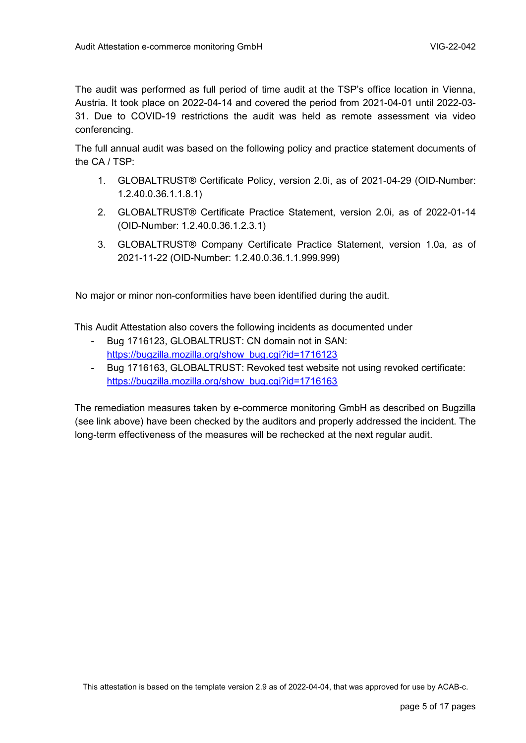The audit was performed as full period of time audit at the TSP's office location in Vienna, Austria. It took place on 2022-04-14 and covered the period from 2021-04-01 until 2022-03- 31. Due to COVID-19 restrictions the audit was held as remote assessment via video conferencing.

The full annual audit was based on the following policy and practice statement documents of the CA / TSP:

- 1. GLOBALTRUST® Certificate Policy, version 2.0i, as of 2021-04-29 (OID-Number: 1.2.40.0.36.1.1.8.1)
- 2. GLOBALTRUST® Certificate Practice Statement, version 2.0i, as of 2022-01-14 (OID-Number: 1.2.40.0.36.1.2.3.1)
- 3. GLOBALTRUST® Company Certificate Practice Statement, version 1.0a, as of 2021-11-22 (OID-Number: 1.2.40.0.36.1.1.999.999)

No major or minor non-conformities have been identified during the audit.

This Audit Attestation also covers the following incidents as documented under

- Bug 1716123, GLOBALTRUST: CN domain not in SAN: [https://bugzilla.mozilla.org/show\\_bug.cgi?id=1716123](https://bugzilla.mozilla.org/show_bug.cgi?id=1716123)
- Bug 1716163, GLOBALTRUST: Revoked test website not using revoked certificate: [https://bugzilla.mozilla.org/show\\_bug.cgi?id=1716163](https://bugzilla.mozilla.org/show_bug.cgi?id=1716163)

The remediation measures taken by e-commerce monitoring GmbH as described on Bugzilla (see link above) have been checked by the auditors and properly addressed the incident. The long-term effectiveness of the measures will be rechecked at the next regular audit.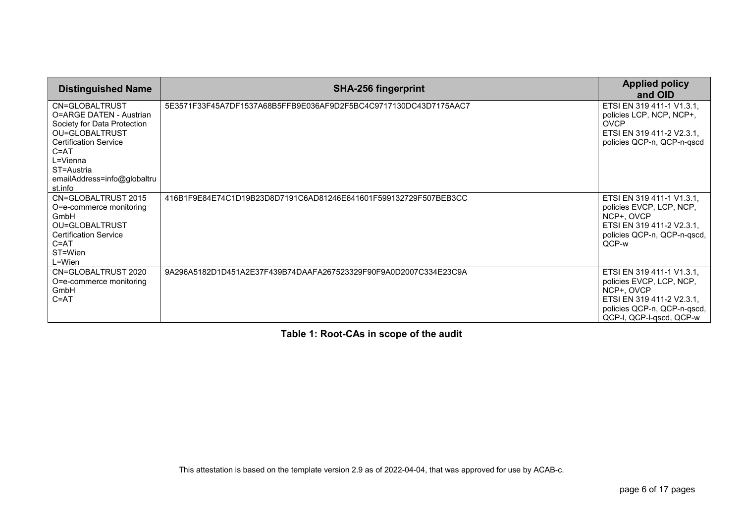| <b>Distinguished Name</b>                                                                                                                                                                                  | <b>SHA-256 fingerprint</b>                                       | <b>Applied policy</b><br>and OID                                                                                                                            |
|------------------------------------------------------------------------------------------------------------------------------------------------------------------------------------------------------------|------------------------------------------------------------------|-------------------------------------------------------------------------------------------------------------------------------------------------------------|
| CN=GLOBALTRUST<br>O=ARGE DATEN - Austrian<br>Society for Data Protection<br>OU=GLOBALTRUST<br><b>Certification Service</b><br>$C = AT$<br>L=Vienna<br>ST=Austria<br>emailAddress=info@globaltru<br>st.info | 5E3571F33F45A7DF1537A68B5FFB9E036AF9D2F5BC4C9717130DC43D7175AAC7 | ETSI EN 319 411-1 V1.3.1,<br>policies LCP, NCP, NCP+,<br><b>OVCP</b><br>ETSI EN 319 411-2 V2.3.1.<br>policies QCP-n, QCP-n-qscd                             |
| CN=GLOBALTRUST 2015<br>O=e-commerce monitoring<br>GmbH<br>OU=GLOBALTRUST<br><b>Certification Service</b><br>$C = AT$<br>ST=Wien<br>$L=W$ ien                                                               | 416B1F9E84E74C1D19B23D8D7191C6AD81246E641601F599132729F507BEB3CC | ETSI EN 319 411-1 V1.3.1,<br>policies EVCP, LCP, NCP,<br>NCP+, OVCP<br>ETSI EN 319 411-2 V2.3.1,<br>policies QCP-n, QCP-n-qscd,<br>QCP-w                    |
| CN=GLOBALTRUST 2020<br>O=e-commerce monitoring<br>GmbH<br>$C = AT$                                                                                                                                         | 9A296A5182D1D451A2E37F439B74DAAFA267523329F90F9A0D2007C334E23C9A | ETSI EN 319 411-1 V1.3.1,<br>policies EVCP, LCP, NCP,<br>NCP+, OVCP<br>ETSI EN 319 411-2 V2.3.1,<br>policies QCP-n, QCP-n-qscd,<br>QCP-I, QCP-I-qscd, QCP-w |

**Table 1: Root-CAs in scope of the audit**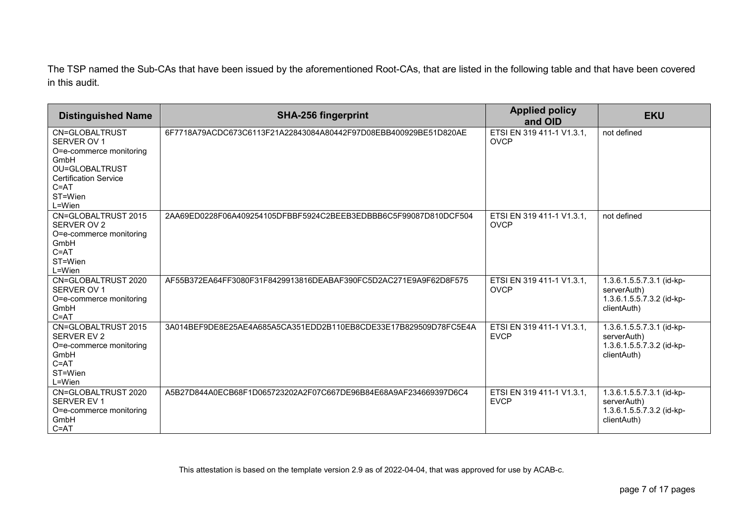The TSP named the Sub-CAs that have been issued by the aforementioned Root-CAs, that are listed in the following table and that have been covered in this audit.

| <b>Distinguished Name</b>                                                                                                                           | <b>SHA-256 fingerprint</b>                                       | <b>Applied policy</b><br>and OID         | <b>EKU</b>                                                                           |
|-----------------------------------------------------------------------------------------------------------------------------------------------------|------------------------------------------------------------------|------------------------------------------|--------------------------------------------------------------------------------------|
| CN=GLOBALTRUST<br>SERVER OV 1<br>O=e-commerce monitoring<br>GmbH<br>OU=GLOBALTRUST<br><b>Certification Service</b><br>$C = AT$<br>ST=Wien<br>L=Wien | 6F7718A79ACDC673C6113F21A22843084A80442F97D08EBB400929BE51D820AE | ETSI EN 319 411-1 V1.3.1,<br><b>OVCP</b> | not defined                                                                          |
| CN=GLOBALTRUST 2015<br>SERVER OV 2<br>O=e-commerce monitoring<br>GmbH<br>$C = AT$<br>ST=Wien<br>L=Wien                                              | 2AA69ED0228F06A409254105DFBBF5924C2BEEB3EDBBB6C5F99087D810DCF504 | ETSI EN 319 411-1 V1.3.1,<br><b>OVCP</b> | not defined                                                                          |
| CN=GLOBALTRUST 2020<br>SERVER OV 1<br>O=e-commerce monitoring<br>GmbH<br>$C = AT$                                                                   | AF55B372EA64FF3080F31F8429913816DEABAF390FC5D2AC271E9A9F62D8F575 | ETSI EN 319 411-1 V1.3.1,<br><b>OVCP</b> | 1.3.6.1.5.5.7.3.1 (id-kp-<br>serverAuth)<br>1.3.6.1.5.5.7.3.2 (id-kp-<br>clientAuth) |
| CN=GLOBALTRUST 2015<br><b>SERVER EV 2</b><br>O=e-commerce monitoring<br>GmbH<br>$C = AT$<br>ST=Wien<br>L=Wien                                       | 3A014BEF9DE8E25AE4A685A5CA351EDD2B110EB8CDE33E17B829509D78FC5E4A | ETSI EN 319 411-1 V1.3.1,<br><b>EVCP</b> | 1.3.6.1.5.5.7.3.1 (id-kp-<br>serverAuth)<br>1.3.6.1.5.5.7.3.2 (id-kp-<br>clientAuth) |
| CN=GLOBALTRUST 2020<br>SERVER EV 1<br>O=e-commerce monitoring<br>GmbH<br>$C = AT$                                                                   | A5B27D844A0ECB68F1D065723202A2F07C667DE96B84E68A9AF234669397D6C4 | ETSI EN 319 411-1 V1.3.1.<br><b>EVCP</b> | 1.3.6.1.5.5.7.3.1 (id-kp-<br>serverAuth)<br>1.3.6.1.5.5.7.3.2 (id-kp-<br>clientAuth) |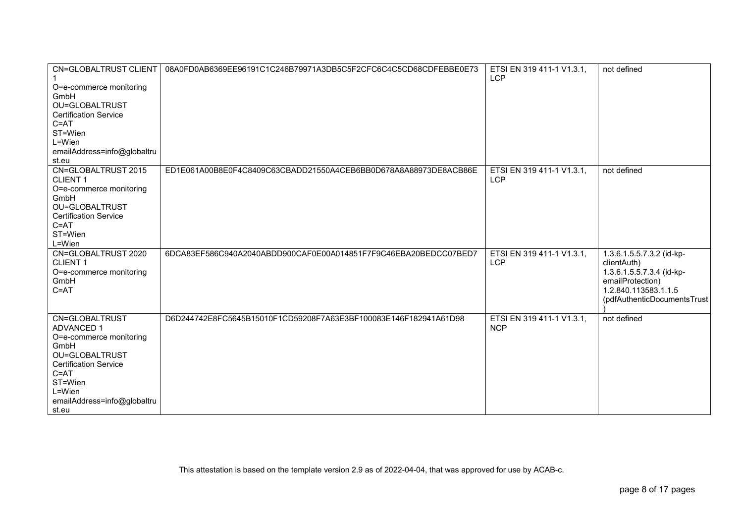| <b>CN=GLOBALTRUST CLIENT</b><br>O=e-commerce monitoring<br>GmbH<br>OU=GLOBALTRUST<br><b>Certification Service</b><br>$C = AT$<br>ST=Wien<br>L=Wien<br>emailAddress=info@globaltru<br>st.eu        | 08A0FD0AB6369EE96191C1C246B79971A3DB5C5F2CFC6C4C5CD68CDFEBBE0E73 | ETSI EN 319 411-1 V1.3.1,<br><b>LCP</b> | not defined                                                                                                                                      |
|---------------------------------------------------------------------------------------------------------------------------------------------------------------------------------------------------|------------------------------------------------------------------|-----------------------------------------|--------------------------------------------------------------------------------------------------------------------------------------------------|
| CN=GLOBALTRUST 2015<br><b>CLIENT1</b><br>O=e-commerce monitoring<br>GmbH<br>OU=GLOBALTRUST<br><b>Certification Service</b><br>$C = AT$<br>ST=Wien<br>L=Wien                                       | ED1E061A00B8E0F4C8409C63CBADD21550A4CEB6BB0D678A8A88973DE8ACB86E | ETSI EN 319 411-1 V1.3.1,<br><b>LCP</b> | not defined                                                                                                                                      |
| CN=GLOBALTRUST 2020<br><b>CLIENT1</b><br>O=e-commerce monitoring<br>GmbH<br>$C = AT$                                                                                                              | 6DCA83EF586C940A2040ABDD900CAF0E00A014851F7F9C46EBA20BEDCC07BED7 | ETSI EN 319 411-1 V1.3.1,<br><b>LCP</b> | 1.3.6.1.5.5.7.3.2 (id-kp-<br>clientAuth)<br>1.3.6.1.5.5.7.3.4 (id-kp-<br>emailProtection)<br>1.2.840.113583.1.1.5<br>(pdfAuthenticDocumentsTrust |
| CN=GLOBALTRUST<br><b>ADVANCED 1</b><br>O=e-commerce monitoring<br>GmbH<br>OU=GLOBALTRUST<br><b>Certification Service</b><br>$C = AT$<br>ST=Wien<br>L=Wien<br>emailAddress=info@globaltru<br>st.eu | D6D244742E8FC5645B15010F1CD59208F7A63E3BF100083E146F182941A61D98 | ETSI EN 319 411-1 V1.3.1,<br><b>NCP</b> | not defined                                                                                                                                      |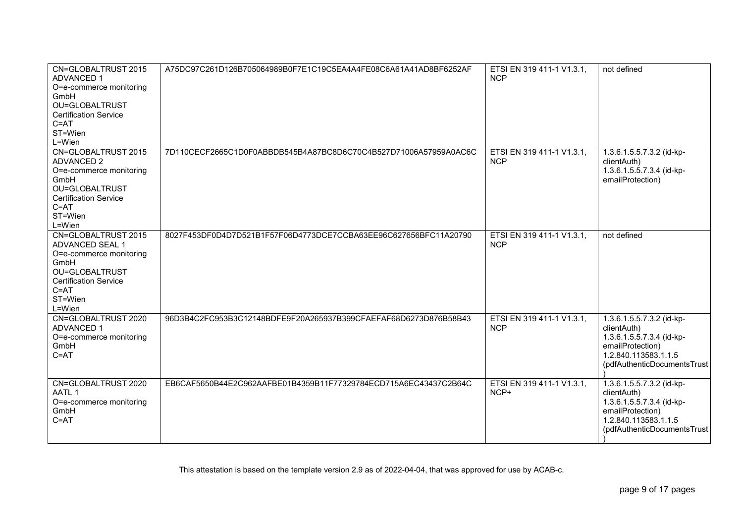| CN=GLOBALTRUST 2015<br><b>ADVANCED 1</b><br>O=e-commerce monitoring<br>GmbH<br>OU=GLOBALTRUST<br><b>Certification Service</b><br>$C = AT$<br>ST=Wien<br>L=Wien | A75DC97C261D126B705064989B0F7E1C19C5EA4A4FE08C6A61A41AD8BF6252AF | ETSI EN 319 411-1 V1.3.1,<br><b>NCP</b> | not defined                                                                                                                                      |
|----------------------------------------------------------------------------------------------------------------------------------------------------------------|------------------------------------------------------------------|-----------------------------------------|--------------------------------------------------------------------------------------------------------------------------------------------------|
| CN=GLOBALTRUST 2015<br><b>ADVANCED 2</b><br>O=e-commerce monitoring<br>GmbH<br>OU=GLOBALTRUST<br><b>Certification Service</b><br>$C = AT$<br>ST=Wien<br>L=Wien | 7D110CECF2665C1D0F0ABBDB545B4A87BC8D6C70C4B527D71006A57959A0AC6C | ETSI EN 319 411-1 V1.3.1,<br><b>NCP</b> | 1.3.6.1.5.5.7.3.2 (id-kp-<br>clientAuth)<br>1.3.6.1.5.5.7.3.4 (id-kp-<br>emailProtection)                                                        |
| CN=GLOBALTRUST 2015<br>ADVANCED SEAL 1<br>O=e-commerce monitoring<br>GmbH<br>OU=GLOBALTRUST<br><b>Certification Service</b><br>$C = AT$<br>ST=Wien<br>L=Wien   | 8027F453DF0D4D7D521B1F57F06D4773DCE7CCBA63EE96C627656BFC11A20790 | ETSI EN 319 411-1 V1.3.1,<br><b>NCP</b> | not defined                                                                                                                                      |
| CN=GLOBALTRUST 2020<br><b>ADVANCED 1</b><br>O=e-commerce monitoring<br>GmbH<br>$C = AT$                                                                        | 96D3B4C2FC953B3C12148BDFE9F20A265937B399CFAEFAF68D6273D876B58B43 | ETSI EN 319 411-1 V1.3.1,<br><b>NCP</b> | 1.3.6.1.5.5.7.3.2 (id-kp-<br>clientAuth)<br>1.3.6.1.5.5.7.3.4 (id-kp-<br>emailProtection)<br>1.2.840.113583.1.1.5<br>(pdfAuthenticDocumentsTrust |
| CN=GLOBALTRUST 2020<br>AATL 1<br>O=e-commerce monitoring<br>GmbH<br>$C = AT$                                                                                   | EB6CAF5650B44E2C962AAFBE01B4359B11F77329784ECD715A6EC43437C2B64C | ETSI EN 319 411-1 V1.3.1,<br>NCP+       | 1.3.6.1.5.5.7.3.2 (id-kp-<br>clientAuth)<br>1.3.6.1.5.5.7.3.4 (id-kp-<br>emailProtection)<br>1.2.840.113583.1.1.5<br>(pdfAuthenticDocumentsTrust |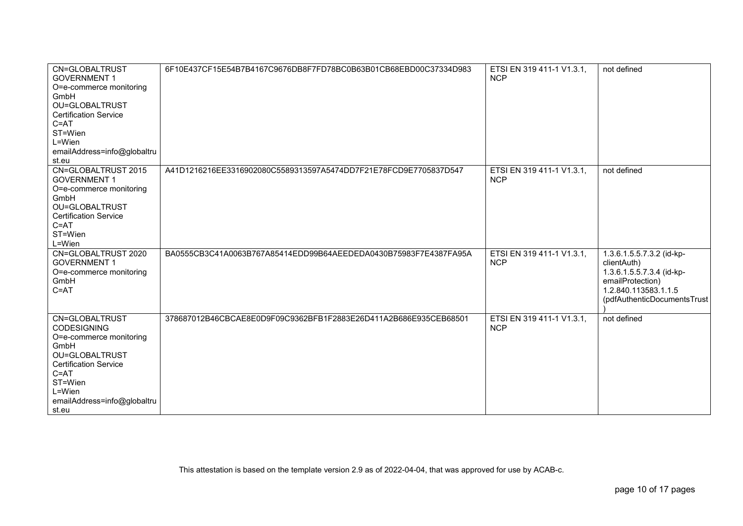| CN=GLOBALTRUST<br><b>GOVERNMENT 1</b><br>O=e-commerce monitoring<br>GmbH<br>OU=GLOBALTRUST<br><b>Certification Service</b><br>$C = AT$<br>ST=Wien<br>L=Wien<br>emailAddress=info@globaltru<br>st.eu | 6F10E437CF15E54B7B4167C9676DB8F7FD78BC0B63B01CB68EBD00C37334D983 | ETSI EN 319 411-1 V1.3.1,<br><b>NCP</b> | not defined                                                                                                                                      |
|-----------------------------------------------------------------------------------------------------------------------------------------------------------------------------------------------------|------------------------------------------------------------------|-----------------------------------------|--------------------------------------------------------------------------------------------------------------------------------------------------|
| CN=GLOBALTRUST 2015<br><b>GOVERNMENT 1</b><br>O=e-commerce monitoring<br>GmbH<br>OU=GLOBALTRUST<br><b>Certification Service</b><br>$C = AT$<br>ST=Wien<br>L=Wien                                    | A41D1216216EE3316902080C5589313597A5474DD7F21E78FCD9E7705837D547 | ETSI EN 319 411-1 V1.3.1,<br><b>NCP</b> | not defined                                                                                                                                      |
| CN=GLOBALTRUST 2020<br><b>GOVERNMENT 1</b><br>O=e-commerce monitoring<br>GmbH<br>$C = AT$                                                                                                           | BA0555CB3C41A0063B767A85414EDD99B64AEEDEDA0430B75983F7E4387FA95A | ETSI EN 319 411-1 V1.3.1,<br><b>NCP</b> | 1.3.6.1.5.5.7.3.2 (id-kp-<br>clientAuth)<br>1.3.6.1.5.5.7.3.4 (id-kp-<br>emailProtection)<br>1.2.840.113583.1.1.5<br>(pdfAuthenticDocumentsTrust |
| CN=GLOBALTRUST<br><b>CODESIGNING</b><br>O=e-commerce monitoring<br>GmbH<br>OU=GLOBALTRUST<br><b>Certification Service</b><br>$C = AT$<br>ST=Wien<br>L=Wien<br>emailAddress=info@globaltru<br>st.eu  | 378687012B46CBCAE8E0D9F09C9362BFB1F2883E26D411A2B686E935CEB68501 | ETSI EN 319 411-1 V1.3.1,<br><b>NCP</b> | not defined                                                                                                                                      |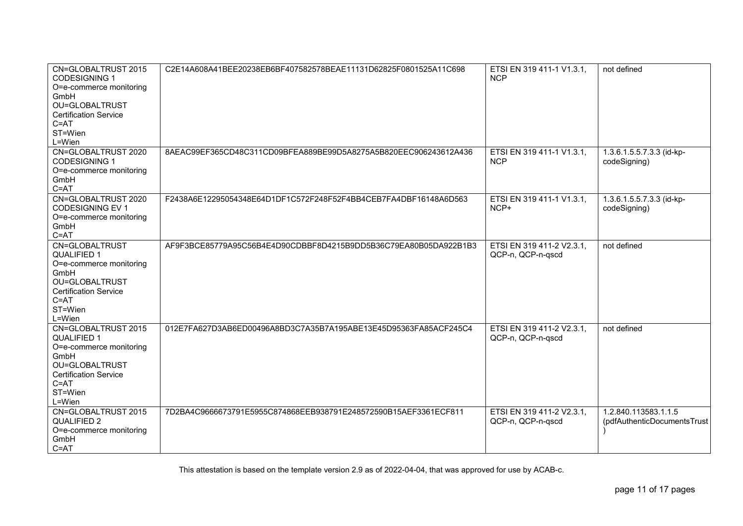| CN=GLOBALTRUST 2015<br><b>CODESIGNING 1</b><br>O=e-commerce monitoring<br>GmbH<br>OU=GLOBALTRUST<br><b>Certification Service</b><br>$C = AT$<br>ST=Wien<br>L=Wien | C2E14A608A41BEE20238EB6BF407582578BEAE11131D62825F0801525A11C698 | ETSI EN 319 411-1 V1.3.1,<br><b>NCP</b>        | not defined                                         |
|-------------------------------------------------------------------------------------------------------------------------------------------------------------------|------------------------------------------------------------------|------------------------------------------------|-----------------------------------------------------|
| CN=GLOBALTRUST 2020<br><b>CODESIGNING 1</b><br>O=e-commerce monitoring<br>GmbH<br>$C = AT$                                                                        | 8AEAC99EF365CD48C311CD09BFEA889BE99D5A8275A5B820EEC906243612A436 | ETSI EN 319 411-1 V1.3.1,<br><b>NCP</b>        | 1.3.6.1.5.5.7.3.3 (id-kp-<br>codeSigning)           |
| CN=GLOBALTRUST 2020<br><b>CODESIGNING EV 1</b><br>O=e-commerce monitoring<br>GmbH<br>$C = AT$                                                                     | F2438A6E12295054348E64D1DF1C572F248F52F4BB4CEB7FA4DBF16148A6D563 | ETSI EN 319 411-1 V1.3.1,<br>NCP+              | 1.3.6.1.5.5.7.3.3 (id-kp-<br>codeSigning)           |
| CN=GLOBALTRUST<br><b>QUALIFIED 1</b><br>O=e-commerce monitoring<br>GmbH<br>OU=GLOBALTRUST<br><b>Certification Service</b><br>$C = AT$<br>ST=Wien<br>L=Wien        | AF9F3BCE85779A95C56B4E4D90CDBBF8D4215B9DD5B36C79EA80B05DA922B1B3 | ETSI EN 319 411-2 V2.3.1,<br>QCP-n, QCP-n-qscd | not defined                                         |
| CN=GLOBALTRUST 2015<br><b>QUALIFIED 1</b><br>O=e-commerce monitoring<br>GmbH<br>OU=GLOBALTRUST<br><b>Certification Service</b><br>$C = AT$<br>ST=Wien<br>L=Wien   | 012E7FA627D3AB6ED00496A8BD3C7A35B7A195ABE13E45D95363FA85ACF245C4 | ETSI EN 319 411-2 V2.3.1,<br>QCP-n, QCP-n-qscd | not defined                                         |
| CN=GLOBALTRUST 2015<br><b>QUALIFIED 2</b><br>O=e-commerce monitoring<br>GmbH<br>$C = AT$                                                                          | 7D2BA4C9666673791E5955C874868EEB938791E248572590B15AEF3361ECF811 | ETSI EN 319 411-2 V2.3.1,<br>QCP-n, QCP-n-qscd | 1.2.840.113583.1.1.5<br>(pdfAuthenticDocumentsTrust |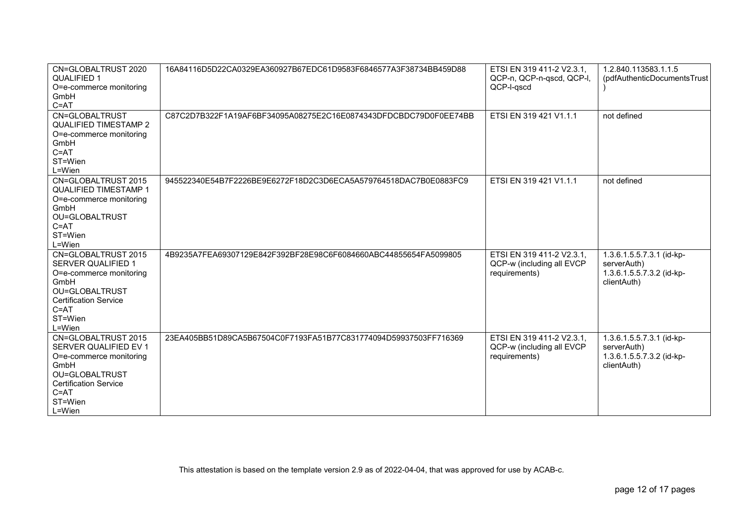| CN=GLOBALTRUST 2020          | 16A84116D5D22CA0329EA360927B67EDC61D9583F6846577A3F38734BB459D88 | ETSI EN 319 411-2 V2.3.1, | 1.2.840.113583.1.1.5        |
|------------------------------|------------------------------------------------------------------|---------------------------|-----------------------------|
| <b>QUALIFIED 1</b>           |                                                                  | QCP-n, QCP-n-qscd, QCP-l, | (pdfAuthenticDocumentsTrust |
| O=e-commerce monitoring      |                                                                  | QCP-I-qscd                |                             |
| GmbH                         |                                                                  |                           |                             |
| $C = AT$                     |                                                                  |                           |                             |
| CN=GLOBALTRUST               | C87C2D7B322F1A19AF6BF34095A08275E2C16E0874343DFDCBDC79D0F0EE74BB | ETSI EN 319 421 V1.1.1    | not defined                 |
| <b>QUALIFIED TIMESTAMP 2</b> |                                                                  |                           |                             |
| O=e-commerce monitoring      |                                                                  |                           |                             |
| GmbH                         |                                                                  |                           |                             |
| $C = AT$                     |                                                                  |                           |                             |
| ST=Wien                      |                                                                  |                           |                             |
| L=Wien                       |                                                                  |                           |                             |
| CN=GLOBALTRUST 2015          | 945522340E54B7F2226BE9E6272F18D2C3D6ECA5A579764518DAC7B0E0883FC9 | ETSI EN 319 421 V1.1.1    | not defined                 |
| <b>QUALIFIED TIMESTAMP 1</b> |                                                                  |                           |                             |
| O=e-commerce monitoring      |                                                                  |                           |                             |
| GmbH                         |                                                                  |                           |                             |
| OU=GLOBALTRUST               |                                                                  |                           |                             |
| $C = AT$                     |                                                                  |                           |                             |
| ST=Wien                      |                                                                  |                           |                             |
| $L = Wien$                   |                                                                  |                           |                             |
| CN=GLOBALTRUST 2015          | 4B9235A7FEA69307129E842F392BF28E98C6F6084660ABC44855654FA5099805 | ETSI EN 319 411-2 V2.3.1, | 1.3.6.1.5.5.7.3.1 (id-kp-   |
| <b>SERVER QUALIFIED 1</b>    |                                                                  | QCP-w (including all EVCP | serverAuth)                 |
| O=e-commerce monitoring      |                                                                  | requirements)             | 1.3.6.1.5.5.7.3.2 (id-kp-   |
| GmbH                         |                                                                  |                           | clientAuth)                 |
| OU=GLOBALTRUST               |                                                                  |                           |                             |
| <b>Certification Service</b> |                                                                  |                           |                             |
| $C = AT$                     |                                                                  |                           |                             |
| ST=Wien                      |                                                                  |                           |                             |
| L=Wien                       |                                                                  |                           |                             |
| CN=GLOBALTRUST 2015          | 23EA405BB51D89CA5B67504C0F7193FA51B77C831774094D59937503FF716369 | ETSI EN 319 411-2 V2.3.1, | 1.3.6.1.5.5.7.3.1 (id-kp-   |
| SERVER QUALIFIED EV 1        |                                                                  | QCP-w (including all EVCP | serverAuth)                 |
| O=e-commerce monitoring      |                                                                  | requirements)             | 1.3.6.1.5.5.7.3.2 (id-kp-   |
| GmbH                         |                                                                  |                           | clientAuth)                 |
| OU=GLOBALTRUST               |                                                                  |                           |                             |
| <b>Certification Service</b> |                                                                  |                           |                             |
| $C = AT$                     |                                                                  |                           |                             |
| ST=Wien                      |                                                                  |                           |                             |
| L=Wien                       |                                                                  |                           |                             |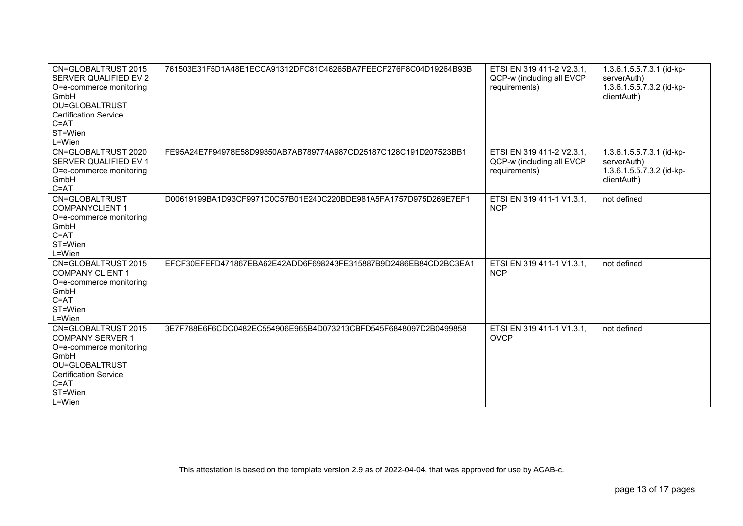| CN=GLOBALTRUST 2015<br>SERVER QUALIFIED EV 2<br>O=e-commerce monitoring<br>GmbH<br>OU=GLOBALTRUST<br><b>Certification Service</b><br>$C = AT$<br>ST=Wien<br>L=Wien   | 761503E31F5D1A48E1ECCA91312DFC81C46265BA7FEECF276F8C04D19264B93B | ETSI EN 319 411-2 V2.3.1,<br>QCP-w (including all EVCP<br>requirements) | 1.3.6.1.5.5.7.3.1 (id-kp-<br>serverAuth)<br>1.3.6.1.5.5.7.3.2 (id-kp-<br>clientAuth) |
|----------------------------------------------------------------------------------------------------------------------------------------------------------------------|------------------------------------------------------------------|-------------------------------------------------------------------------|--------------------------------------------------------------------------------------|
| CN=GLOBALTRUST 2020<br>SERVER QUALIFIED EV 1<br>O=e-commerce monitoring<br>GmbH<br>$C = AT$                                                                          | FE95A24E7F94978E58D99350AB7AB789774A987CD25187C128C191D207523BB1 | ETSI EN 319 411-2 V2.3.1,<br>QCP-w (including all EVCP<br>requirements) | 1.3.6.1.5.5.7.3.1 (id-kp-<br>serverAuth)<br>1.3.6.1.5.5.7.3.2 (id-kp-<br>clientAuth) |
| CN=GLOBALTRUST<br><b>COMPANYCLIENT 1</b><br>O=e-commerce monitoring<br>GmbH<br>$C = AT$<br>ST=Wien<br>L=Wien                                                         | D00619199BA1D93CF9971C0C57B01E240C220BDE981A5FA1757D975D269E7EF1 | ETSI EN 319 411-1 V1.3.1,<br><b>NCP</b>                                 | not defined                                                                          |
| CN=GLOBALTRUST 2015<br><b>COMPANY CLIENT 1</b><br>O=e-commerce monitoring<br>GmbH<br>$C = AT$<br>ST=Wien<br>L=Wien                                                   | EFCF30EFEFD471867EBA62E42ADD6F698243FE315887B9D2486EB84CD2BC3EA1 | ETSI EN 319 411-1 V1.3.1,<br><b>NCP</b>                                 | not defined                                                                          |
| CN=GLOBALTRUST 2015<br><b>COMPANY SERVER 1</b><br>O=e-commerce monitoring<br>GmbH<br>OU=GLOBALTRUST<br><b>Certification Service</b><br>$C = AT$<br>ST=Wien<br>L=Wien | 3E7F788E6F6CDC0482EC554906E965B4D073213CBFD545F6848097D2B0499858 | ETSI EN 319 411-1 V1.3.1,<br><b>OVCP</b>                                | not defined                                                                          |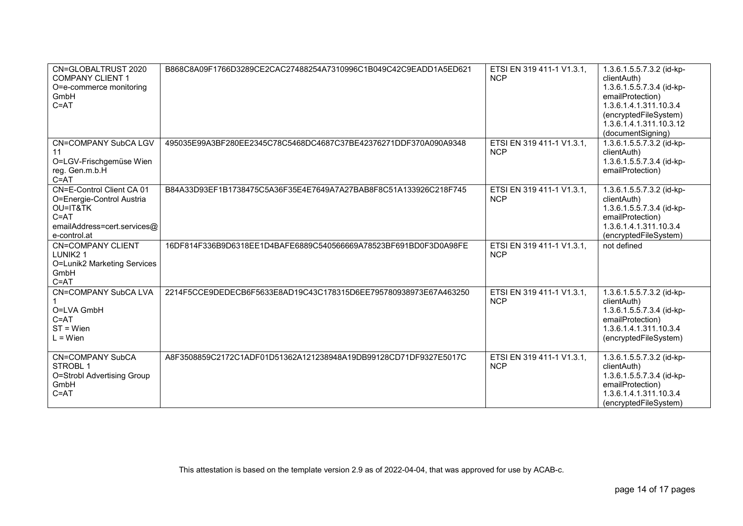| CN=GLOBALTRUST 2020<br><b>COMPANY CLIENT 1</b><br>O=e-commerce monitoring<br>GmbH<br>$C = AT$                                 | B868C8A09F1766D3289CE2CAC27488254A7310996C1B049C42C9EADD1A5ED621 | ETSI EN 319 411-1 V1.3.1,<br><b>NCP</b> | 1.3.6.1.5.5.7.3.2 (id-kp-<br>clientAuth)<br>1.3.6.1.5.5.7.3.4 (id-kp-<br>emailProtection)<br>1.3.6.1.4.1.311.10.3.4<br>(encryptedFileSystem)<br>1.3.6.1.4.1.311.10.3.12<br>(documentSigning) |
|-------------------------------------------------------------------------------------------------------------------------------|------------------------------------------------------------------|-----------------------------------------|----------------------------------------------------------------------------------------------------------------------------------------------------------------------------------------------|
| <b>CN=COMPANY SubCA LGV</b><br>11<br>O=LGV-Frischgemüse Wien<br>reg. Gen.m.b.H<br>$C = AT$                                    | 495035E99A3BF280EE2345C78C5468DC4687C37BE42376271DDF370A090A9348 | ETSI EN 319 411-1 V1.3.1,<br><b>NCP</b> | 1.3.6.1.5.5.7.3.2 (id-kp-<br>clientAuth)<br>1.3.6.1.5.5.7.3.4 (id-kp-<br>emailProtection)                                                                                                    |
| CN=E-Control Client CA 01<br>O=Energie-Control Austria<br>OU=IT&TK<br>$C = AT$<br>emailAddress=cert.services@<br>e-control.at | B84A33D93EF1B1738475C5A36F35E4E7649A7A27BAB8F8C51A133926C218F745 | ETSI EN 319 411-1 V1.3.1,<br><b>NCP</b> | 1.3.6.1.5.5.7.3.2 (id-kp-<br>clientAuth)<br>1.3.6.1.5.5.7.3.4 (id-kp-<br>emailProtection)<br>1.3.6.1.4.1.311.10.3.4<br>(encryptedFileSystem)                                                 |
| <b>CN=COMPANY CLIENT</b><br>LUNIK <sub>2</sub> 1<br>O=Lunik2 Marketing Services<br>GmbH<br>$C = AT$                           | 16DF814F336B9D6318EE1D4BAFE6889C540566669A78523BF691BD0F3D0A98FE | ETSI EN 319 411-1 V1.3.1,<br><b>NCP</b> | not defined                                                                                                                                                                                  |
| <b>CN=COMPANY SubCA LVA</b><br>O=LVA GmbH<br>$C = AT$<br>$ST = Wien$<br>$L = Wien$                                            | 2214F5CCE9DEDECB6F5633E8AD19C43C178315D6EE795780938973E67A463250 | ETSI EN 319 411-1 V1.3.1,<br><b>NCP</b> | 1.3.6.1.5.5.7.3.2 (id-kp-<br>clientAuth)<br>1.3.6.1.5.5.7.3.4 (id-kp-<br>emailProtection)<br>1.3.6.1.4.1.311.10.3.4<br>(encryptedFileSystem)                                                 |
| <b>CN=COMPANY SubCA</b><br>STROBL 1<br>O=Strobl Advertising Group<br>GmbH<br>$C = AT$                                         | A8F3508859C2172C1ADF01D51362A121238948A19DB99128CD71DF9327E5017C | ETSI EN 319 411-1 V1.3.1,<br><b>NCP</b> | 1.3.6.1.5.5.7.3.2 (id-kp-<br>clientAuth)<br>1.3.6.1.5.5.7.3.4 (id-kp-<br>emailProtection)<br>1.3.6.1.4.1.311.10.3.4<br>(encryptedFileSystem)                                                 |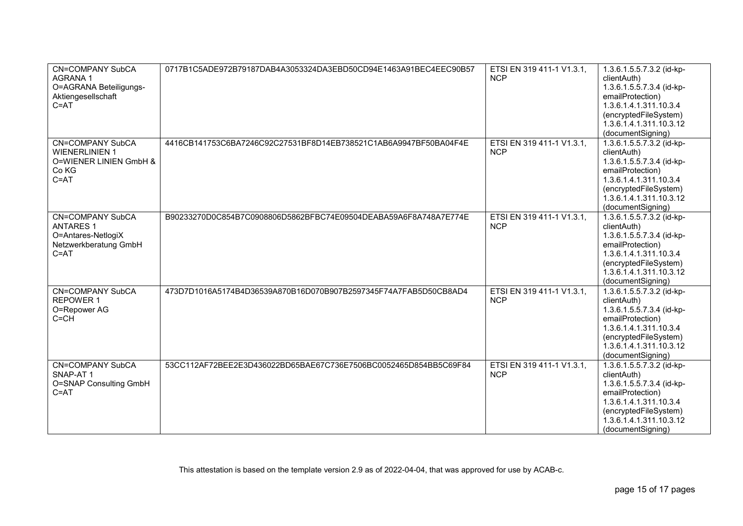| <b>CN=COMPANY SubCA</b><br><b>AGRANA1</b><br>O=AGRANA Beteiligungs-<br>Aktiengesellschaft<br>$C = AT$  | 0717B1C5ADE972B79187DAB4A3053324DA3EBD50CD94E1463A91BEC4EEC90B57 | ETSI EN 319 411-1 V1.3.1,<br><b>NCP</b> | 1.3.6.1.5.5.7.3.2 (id-kp-<br>clientAuth)<br>1.3.6.1.5.5.7.3.4 (id-kp-<br>emailProtection)<br>1.3.6.1.4.1.311.10.3.4<br>(encryptedFileSystem)<br>1.3.6.1.4.1.311.10.3.12<br>(documentSigning) |
|--------------------------------------------------------------------------------------------------------|------------------------------------------------------------------|-----------------------------------------|----------------------------------------------------------------------------------------------------------------------------------------------------------------------------------------------|
| <b>CN=COMPANY SubCA</b><br><b>WIENERLINIEN 1</b><br>O=WIENER LINIEN GmbH &<br>Co KG<br>$C = AT$        | 4416CB141753C6BA7246C92C27531BF8D14EB738521C1AB6A9947BF50BA04F4E | ETSI EN 319 411-1 V1.3.1,<br><b>NCP</b> | 1.3.6.1.5.5.7.3.2 (id-kp-<br>clientAuth)<br>1.3.6.1.5.5.7.3.4 (id-kp-<br>emailProtection)<br>1.3.6.1.4.1.311.10.3.4<br>(encryptedFileSystem)<br>1.3.6.1.4.1.311.10.3.12<br>(documentSigning) |
| <b>CN=COMPANY SubCA</b><br><b>ANTARES 1</b><br>O=Antares-NetlogiX<br>Netzwerkberatung GmbH<br>$C = AT$ | B90233270D0C854B7C0908806D5862BFBC74E09504DEABA59A6F8A748A7E774E | ETSI EN 319 411-1 V1.3.1,<br><b>NCP</b> | 1.3.6.1.5.5.7.3.2 (id-kp-<br>clientAuth)<br>1.3.6.1.5.5.7.3.4 (id-kp-<br>emailProtection)<br>1.3.6.1.4.1.311.10.3.4<br>(encryptedFileSystem)<br>1.3.6.1.4.1.311.10.3.12<br>(documentSigning) |
| <b>CN=COMPANY SubCA</b><br>REPOWER 1<br>O=Repower AG<br>$C = CH$                                       | 473D7D1016A5174B4D36539A870B16D070B907B2597345F74A7FAB5D50CB8AD4 | ETSI EN 319 411-1 V1.3.1,<br><b>NCP</b> | 1.3.6.1.5.5.7.3.2 (id-kp-<br>clientAuth)<br>1.3.6.1.5.5.7.3.4 (id-kp-<br>emailProtection)<br>1.3.6.1.4.1.311.10.3.4<br>(encryptedFileSystem)<br>1.3.6.1.4.1.311.10.3.12<br>(documentSigning) |
| <b>CN=COMPANY SubCA</b><br>SNAP-AT1<br>O=SNAP Consulting GmbH<br>$C = AT$                              | 53CC112AF72BEE2E3D436022BD65BAE67C736E7506BC0052465D854BB5C69F84 | ETSI EN 319 411-1 V1.3.1,<br><b>NCP</b> | 1.3.6.1.5.5.7.3.2 (id-kp-<br>clientAuth)<br>1.3.6.1.5.5.7.3.4 (id-kp-<br>emailProtection)<br>1.3.6.1.4.1.311.10.3.4<br>(encryptedFileSystem)<br>1.3.6.1.4.1.311.10.3.12<br>(documentSigning) |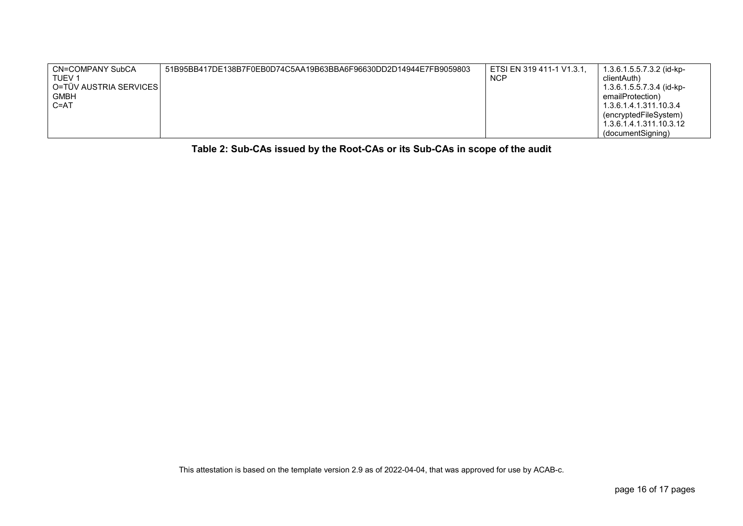| CN=COMPANY SubCA       | 51B95BB417DE138B7F0EB0D74C5AA19B63BBA6F96630DD2D14944E7FB9059803 | ETSI EN 319 411-1 V1.3.1. | 1.3.6.1.5.5.7.3.2 (id-kp- |
|------------------------|------------------------------------------------------------------|---------------------------|---------------------------|
| TUEV 1                 |                                                                  | <b>NCF</b>                | clientAuth)               |
| O=TÜV AUSTRIA SERVICES |                                                                  |                           | 1.3.6.1.5.5.7.3.4 (id-kp- |
| <b>GMBH</b>            |                                                                  |                           | emailProtection)          |
| $C = AT$               |                                                                  |                           | 1.3.6.1.4.1.311.10.3.4    |
|                        |                                                                  |                           | (encryptedFileSystem)     |
|                        |                                                                  |                           | 1.3.6.1.4.1.311.10.3.12   |
|                        |                                                                  |                           | (documentSigning)         |

**Table 2: Sub-CAs issued by the Root-CAs or its Sub-CAs in scope of the audit**